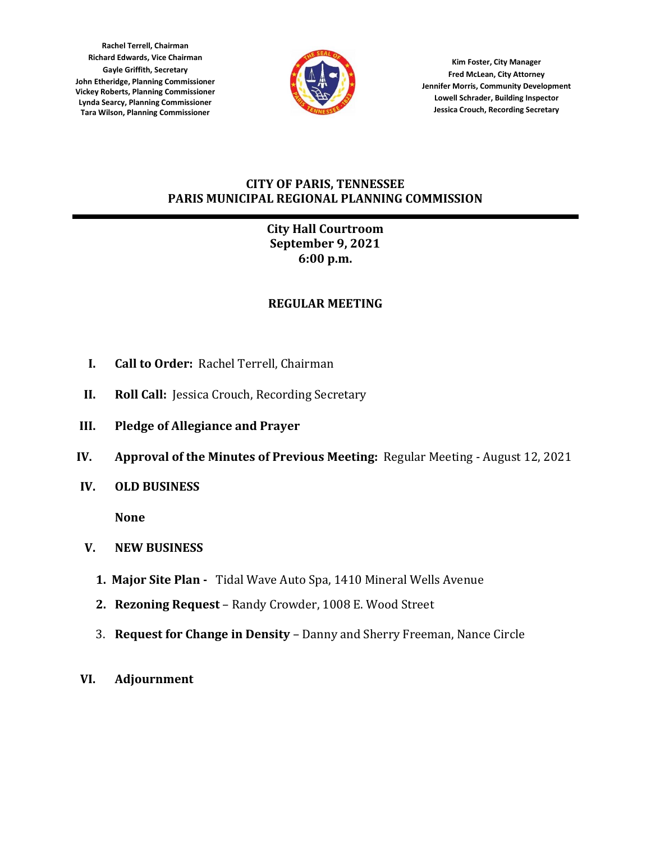**Rachel Terrell, Chairman Richard Edwards, Vice Chairman Gayle Griffith, Secretary John Etheridge, Planning Commissioner Vickey Roberts, Planning Commissioner Lynda Searcy, Planning Commissioner Tara Wilson, Planning Commissioner**



**Kim Foster, City Manager Fred McLean, City Attorney Jennifer Morris, Community Development Lowell Schrader, Building Inspector Jessica Crouch, Recording Secretary**

## **CITY OF PARIS, TENNESSEE PARIS MUNICIPAL REGIONAL PLANNING COMMISSION**

# **City Hall Courtroom September 9, 2021 6:00 p.m.**

# **REGULAR MEETING**

- **I. Call to Order:** Rachel Terrell, Chairman
- **II. Roll Call:** Jessica Crouch, Recording Secretary
- **III. Pledge of Allegiance and Prayer**
- **IV. Approval of the Minutes of Previous Meeting:** Regular Meeting August 12, 2021
- **IV. OLD BUSINESS**

**None**

- **V. NEW BUSINESS**
	- **1. Major Site Plan** Tidal Wave Auto Spa, 1410 Mineral Wells Avenue
	- **2. Rezoning Request** Randy Crowder, 1008 E. Wood Street
	- 3. **Request for Change in Density** Danny and Sherry Freeman, Nance Circle
- **VI. Adjournment**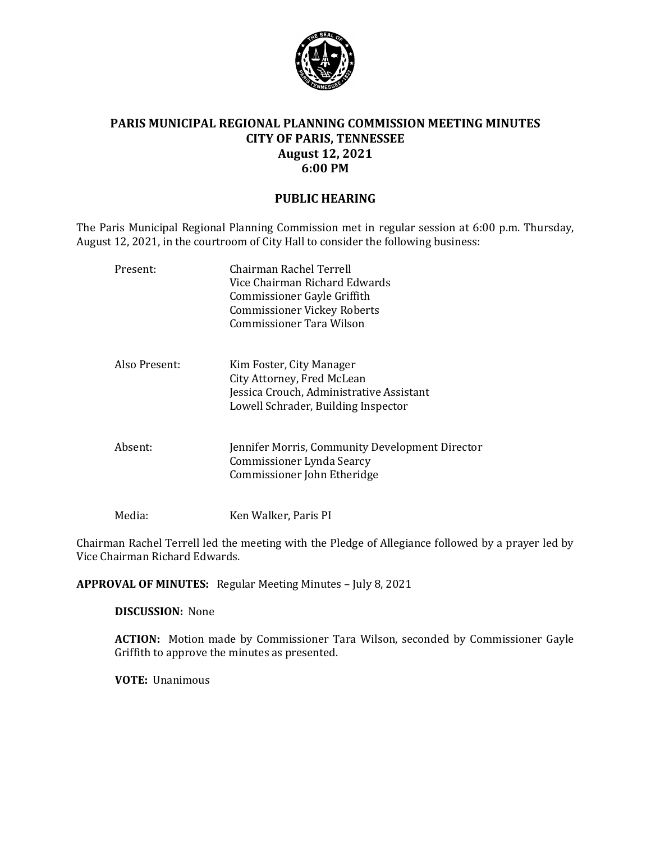

### **PARIS MUNICIPAL REGIONAL PLANNING COMMISSION MEETING MINUTES CITY OF PARIS, TENNESSEE August 12, 2021 6:00 PM**

#### **PUBLIC HEARING**

The Paris Municipal Regional Planning Commission met in regular session at 6:00 p.m. Thursday, August 12, 2021, in the courtroom of City Hall to consider the following business:

| Present:      | Chairman Rachel Terrell<br>Vice Chairman Richard Edwards<br>Commissioner Gayle Griffith<br><b>Commissioner Vickey Roberts</b><br>Commissioner Tara Wilson |
|---------------|-----------------------------------------------------------------------------------------------------------------------------------------------------------|
| Also Present: | Kim Foster, City Manager<br>City Attorney, Fred McLean<br>Jessica Crouch, Administrative Assistant<br>Lowell Schrader, Building Inspector                 |
| Absent:       | Jennifer Morris, Community Development Director<br>Commissioner Lynda Searcy<br>Commissioner John Etheridge                                               |
| Media:        | Ken Walker, Paris PI                                                                                                                                      |

Chairman Rachel Terrell led the meeting with the Pledge of Allegiance followed by a prayer led by Vice Chairman Richard Edwards.

**APPROVAL OF MINUTES:** Regular Meeting Minutes – July 8, 2021

**DISCUSSION:** None

**ACTION:** Motion made by Commissioner Tara Wilson, seconded by Commissioner Gayle Griffith to approve the minutes as presented.

**VOTE:** Unanimous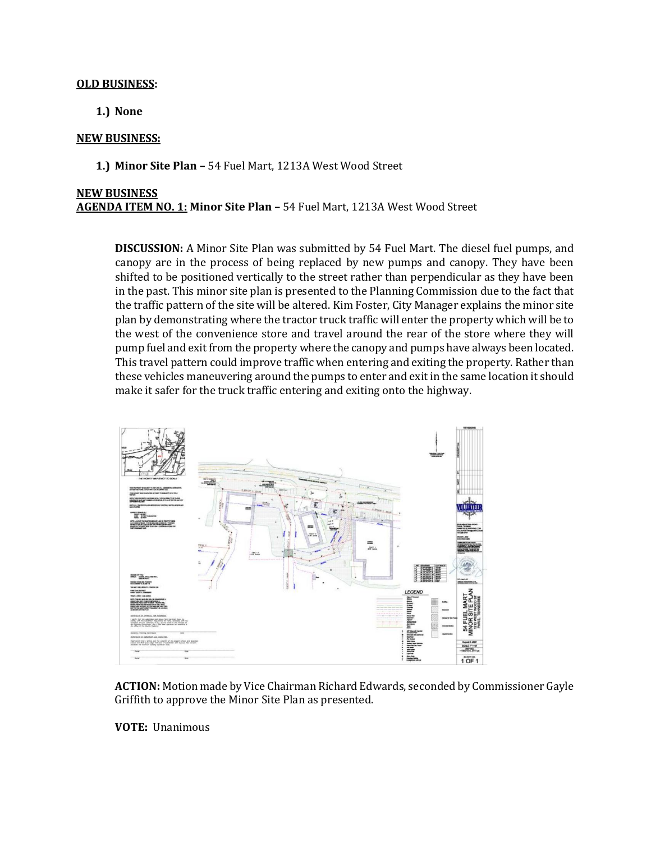#### **OLD BUSINESS:**

**1.) None**

#### **NEW BUSINESS:**

**1.) Minor Site Plan –** 54 Fuel Mart, 1213A West Wood Street

#### **NEW BUSINESS AGENDA ITEM NO. 1: Minor Site Plan –** 54 Fuel Mart, 1213A West Wood Street

**DISCUSSION:** A Minor Site Plan was submitted by 54 Fuel Mart. The diesel fuel pumps, and canopy are in the process of being replaced by new pumps and canopy. They have been shifted to be positioned vertically to the street rather than perpendicular as they have been in the past. This minor site plan is presented to the Planning Commission due to the fact that the traffic pattern of the site will be altered. Kim Foster, City Manager explains the minor site plan by demonstrating where the tractor truck traffic will enter the property which will be to the west of the convenience store and travel around the rear of the store where they will pump fuel and exit from the property where the canopy and pumps have always been located. This travel pattern could improve traffic when entering and exiting the property. Rather than these vehicles maneuvering around the pumps to enter and exit in the same location it should make it safer for the truck traffic entering and exiting onto the highway.



**ACTION:** Motion made by Vice Chairman Richard Edwards, seconded by Commissioner Gayle Griffith to approve the Minor Site Plan as presented.

**VOTE:** Unanimous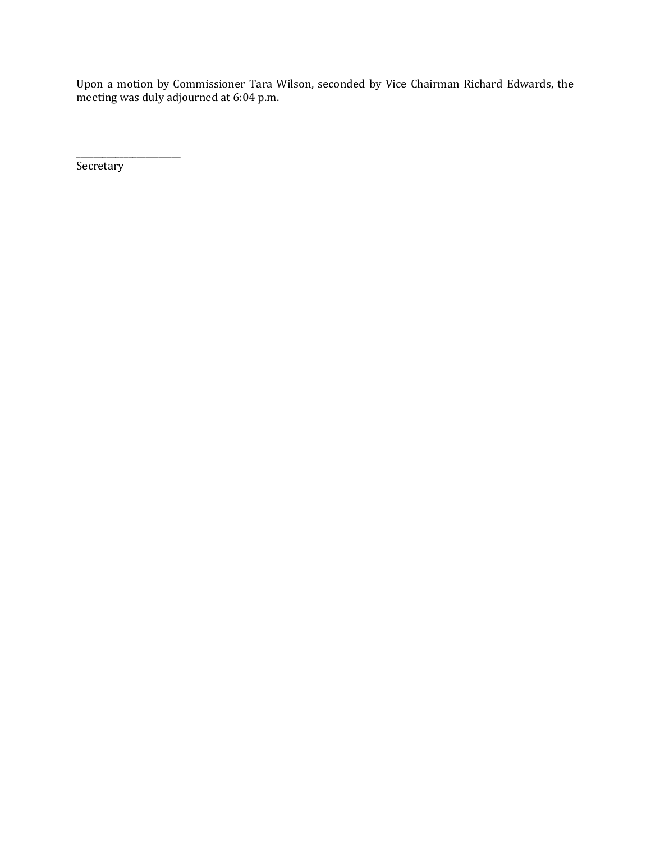Upon a motion by Commissioner Tara Wilson, seconded by Vice Chairman Richard Edwards, the meeting was duly adjourned at 6:04 p.m.

**Secretary** 

\_\_\_\_\_\_\_\_\_\_\_\_\_\_\_\_\_\_\_\_\_\_\_\_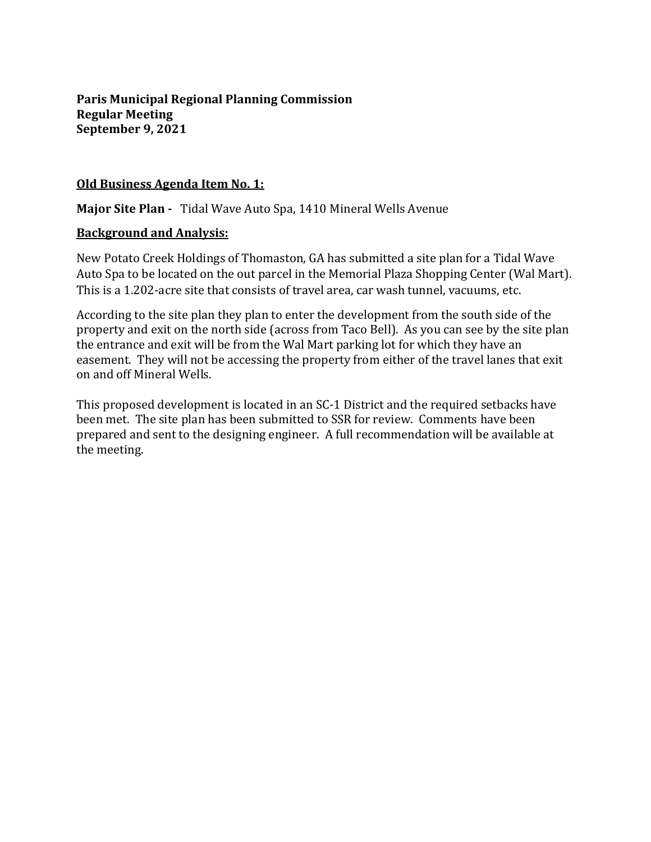**Paris Municipal Regional Planning Commission Regular Meeting September 9, 2021**

### **Old Business Agenda Item No. 1:**

**Major Site Plan -** Tidal Wave Auto Spa, 1410 Mineral Wells Avenue

### **Background and Analysis:**

New Potato Creek Holdings of Thomaston, GA has submitted a site plan for a Tidal Wave Auto Spa to be located on the out parcel in the Memorial Plaza Shopping Center (Wal Mart). This is a 1.202-acre site that consists of travel area, car wash tunnel, vacuums, etc.

According to the site plan they plan to enter the development from the south side of the property and exit on the north side (across from Taco Bell). As you can see by the site plan the entrance and exit will be from the Wal Mart parking lot for which they have an easement. They will not be accessing the property from either of the travel lanes that exit on and off Mineral Wells.

This proposed development is located in an SC-1 District and the required setbacks have been met. The site plan has been submitted to SSR for review. Comments have been prepared and sent to the designing engineer. A full recommendation will be available at the meeting.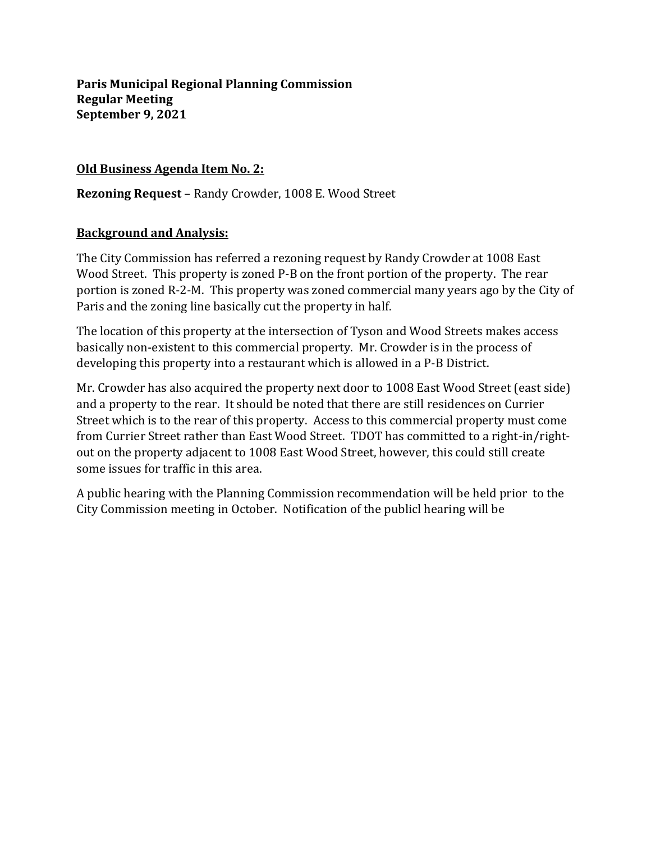**Paris Municipal Regional Planning Commission Regular Meeting September 9, 2021**

## **Old Business Agenda Item No. 2:**

**Rezoning Request** – Randy Crowder, 1008 E. Wood Street

### **Background and Analysis:**

The City Commission has referred a rezoning request by Randy Crowder at 1008 East Wood Street. This property is zoned P-B on the front portion of the property. The rear portion is zoned R-2-M. This property was zoned commercial many years ago by the City of Paris and the zoning line basically cut the property in half.

The location of this property at the intersection of Tyson and Wood Streets makes access basically non-existent to this commercial property. Mr. Crowder is in the process of developing this property into a restaurant which is allowed in a P-B District.

Mr. Crowder has also acquired the property next door to 1008 East Wood Street (east side) and a property to the rear. It should be noted that there are still residences on Currier Street which is to the rear of this property. Access to this commercial property must come from Currier Street rather than East Wood Street. TDOT has committed to a right-in/rightout on the property adjacent to 1008 East Wood Street, however, this could still create some issues for traffic in this area.

A public hearing with the Planning Commission recommendation will be held prior to the City Commission meeting in October. Notification of the publicl hearing will be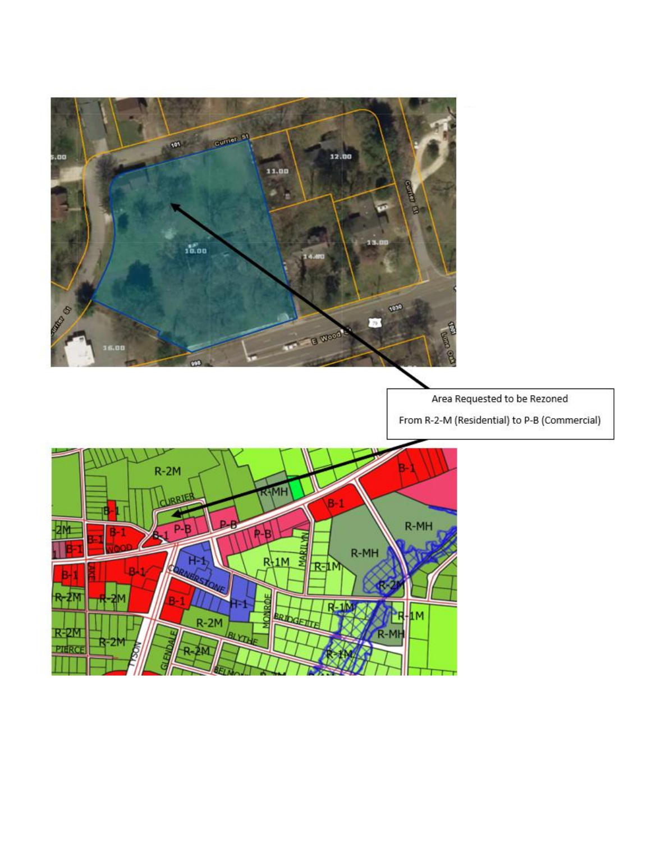

Area Requested to be Rezoned

From R-2-M (Residential) to P-B (Commercial)

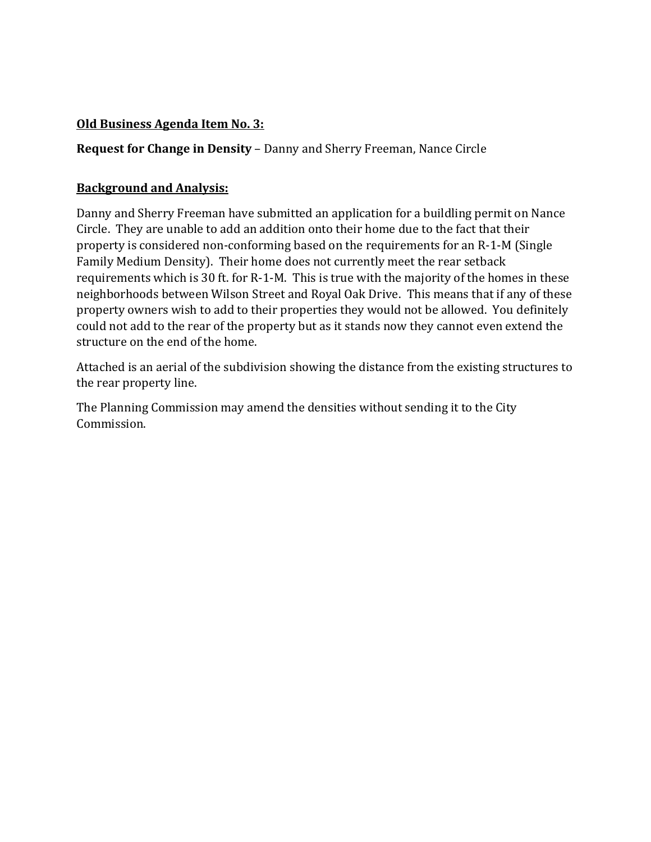# **Old Business Agenda Item No. 3:**

# **Request for Change in Density** – Danny and Sherry Freeman, Nance Circle

# **Background and Analysis:**

Danny and Sherry Freeman have submitted an application for a buildling permit on Nance Circle. They are unable to add an addition onto their home due to the fact that their property is considered non-conforming based on the requirements for an R-1-M (Single Family Medium Density). Their home does not currently meet the rear setback requirements which is 30 ft. for R-1-M. This is true with the majority of the homes in these neighborhoods between Wilson Street and Royal Oak Drive. This means that if any of these property owners wish to add to their properties they would not be allowed. You definitely could not add to the rear of the property but as it stands now they cannot even extend the structure on the end of the home.

Attached is an aerial of the subdivision showing the distance from the existing structures to the rear property line.

The Planning Commission may amend the densities without sending it to the City Commission.